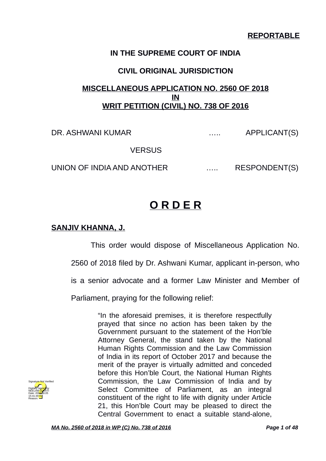## **REPORTABLE**

### **IN THE SUPREME COURT OF INDIA**

### **CIVIL ORIGINAL JURISDICTION**

## **MISCELLANEOUS APPLICATION NO. 2560 OF 2018 IN WRIT PETITION (CIVIL) NO. 738 OF 2016**

DR. ASHWANI KUMAR (U.S. APPLICANT(S)

**VERSUS** 

UNION OF INDIA AND ANOTHER ...... RESPONDENT(S)

# **O R D E R**

### **SANJIV KHANNA, J.**

This order would dispose of Miscellaneous Application No.

2560 of 2018 filed by Dr. Ashwani Kumar, applicant in-person, who

is a senior advocate and a former Law Minister and Member of

Parliament, praying for the following relief:

"In the aforesaid premises, it is therefore respectfully prayed that since no action has been taken by the Government pursuant to the statement of the Hon'ble Attorney General, the stand taken by the National Human Rights Commission and the Law Commission of India in its report of October 2017 and because the merit of the prayer is virtually admitted and conceded before this Hon'ble Court, the National Human Rights Commission, the Law Commission of India and by Select Committee of Parliament, as an integral constituent of the right to life with dignity under Article 21, this Hon'ble Court may be pleased to direct the Central Government to enact a suitable stand-alone,

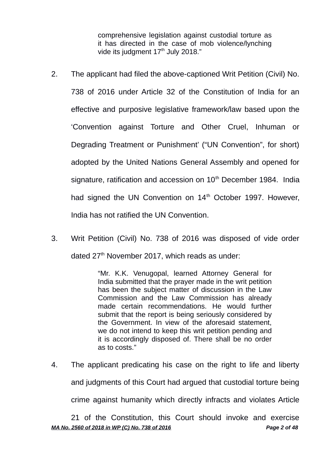comprehensive legislation against custodial torture as it has directed in the case of mob violence/lynching vide its judgment 17<sup>th</sup> July 2018."

- 2. The applicant had filed the above-captioned Writ Petition (Civil) No. 738 of 2016 under Article 32 of the Constitution of India for an effective and purposive legislative framework/law based upon the 'Convention against Torture and Other Cruel, Inhuman or Degrading Treatment or Punishment' ("UN Convention", for short) adopted by the United Nations General Assembly and opened for signature, ratification and accession on  $10<sup>th</sup>$  December 1984. India had signed the UN Convention on  $14<sup>th</sup>$  October 1997. However, India has not ratified the UN Convention.
- 3. Writ Petition (Civil) No. 738 of 2016 was disposed of vide order dated  $27<sup>th</sup>$  November 2017, which reads as under:

"Mr. K.K. Venugopal, learned Attorney General for India submitted that the prayer made in the writ petition has been the subject matter of discussion in the Law Commission and the Law Commission has already made certain recommendations. He would further submit that the report is being seriously considered by the Government. In view of the aforesaid statement, we do not intend to keep this writ petition pending and it is accordingly disposed of. There shall be no order as to costs."

4. The applicant predicating his case on the right to life and liberty and judgments of this Court had argued that custodial torture being crime against humanity which directly infracts and violates Article

21 of the Constitution, this Court should invoke and exercise *MA No. 2560 of 2018 in WP (C) No. 738 of 2016 Page 2 of 48*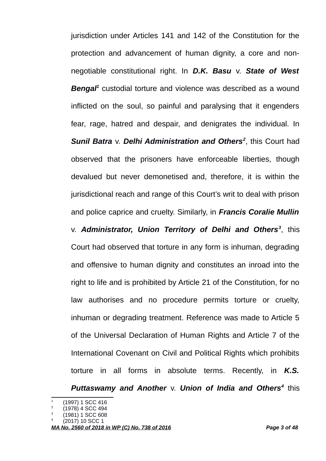jurisdiction under Articles 141 and 142 of the Constitution for the protection and advancement of human dignity, a core and nonnegotiable constitutional right. In *D.K. Basu* v. *State of West Bengal[1](#page-2-0)* custodial torture and violence was described as a wound inflicted on the soul, so painful and paralysing that it engenders fear, rage, hatred and despair, and denigrates the individual. In *Sunil Batra* v. *Delhi Administration and Others[2](#page-2-1)* , this Court had observed that the prisoners have enforceable liberties, though devalued but never demonetised and, therefore, it is within the jurisdictional reach and range of this Court's writ to deal with prison and police caprice and cruelty. Similarly, in *Francis Coralie Mullin*

v. *Administrator, Union Territory of Delhi and Others[3](#page-2-2)* , this Court had observed that torture in any form is inhuman, degrading and offensive to human dignity and constitutes an inroad into the right to life and is prohibited by Article 21 of the Constitution, for no law authorises and no procedure permits torture or cruelty, inhuman or degrading treatment. Reference was made to Article 5 of the Universal Declaration of Human Rights and Article 7 of the International Covenant on Civil and Political Rights which prohibits torture in all forms in absolute terms. Recently, in *K.S. Puttaswamy and Another* v. *Union of India and Others[4](#page-2-3)* this

<span id="page-2-0"></span><sup>1</sup> (1997) 1 SCC 416

<span id="page-2-1"></span><sup>2</sup> (1978) 4 SCC 494

<span id="page-2-2"></span><sup>3</sup> (1981) 1 SCC 608

<span id="page-2-3"></span><sup>4</sup> (2017) 10 SCC 1

*MA No. 2560 of 2018 in WP (C) No. 738 of 2016 Page 3 of 48*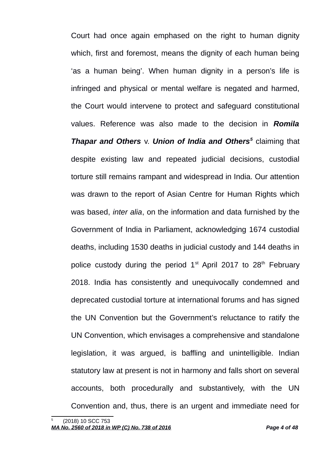Court had once again emphased on the right to human dignity which, first and foremost, means the dignity of each human being 'as a human being'. When human dignity in a person's life is infringed and physical or mental welfare is negated and harmed, the Court would intervene to protect and safeguard constitutional values. Reference was also made to the decision in *Romila Thapar and Others v. Union of India and Others<sup>[5](#page-3-0)</sup> claiming that* despite existing law and repeated judicial decisions, custodial torture still remains rampant and widespread in India. Our attention was drawn to the report of Asian Centre for Human Rights which was based, *inter alia*, on the information and data furnished by the Government of India in Parliament, acknowledging 1674 custodial deaths, including 1530 deaths in judicial custody and 144 deaths in police custody during the period  $1<sup>st</sup>$  April 2017 to 28<sup>th</sup> February 2018. India has consistently and unequivocally condemned and deprecated custodial torture at international forums and has signed the UN Convention but the Government's reluctance to ratify the UN Convention, which envisages a comprehensive and standalone legislation, it was argued, is baffling and unintelligible. Indian statutory law at present is not in harmony and falls short on several accounts, both procedurally and substantively, with the UN Convention and, thus, there is an urgent and immediate need for

<span id="page-3-0"></span><sup>5</sup> (2018) 10 SCC 753 *MA No. 2560 of 2018 in WP (C) No. 738 of 2016 Page 4 of 48*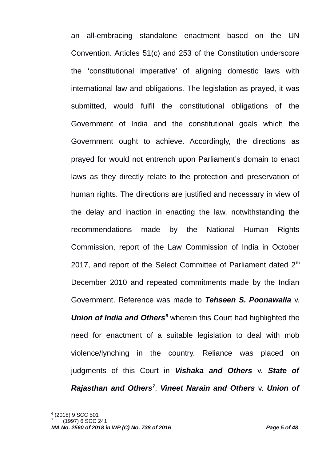an all-embracing standalone enactment based on the UN Convention. Articles 51(c) and 253 of the Constitution underscore the 'constitutional imperative' of aligning domestic laws with international law and obligations. The legislation as prayed, it was submitted, would fulfil the constitutional obligations of the Government of India and the constitutional goals which the Government ought to achieve. Accordingly, the directions as prayed for would not entrench upon Parliament's domain to enact laws as they directly relate to the protection and preservation of human rights. The directions are justified and necessary in view of the delay and inaction in enacting the law, notwithstanding the recommendations made by the National Human Rights Commission, report of the Law Commission of India in October 2017, and report of the Select Committee of Parliament dated  $2<sup>th</sup>$ December 2010 and repeated commitments made by the Indian Government. Reference was made to *Tehseen S. Poonawalla* v. Union of India and Others<sup>[6](#page-4-0)</sup> wherein this Court had highlighted the need for enactment of a suitable legislation to deal with mob violence/lynching in the country. Reliance was placed on judgments of this Court in *Vishaka and Others* v. *State of Rajasthan and Others[7](#page-4-1)* , *Vineet Narain and Others* v. *Union of*

<span id="page-4-0"></span><sup>6</sup> (2018) 9 SCC 501

<span id="page-4-1"></span><sup>7</sup> (1997) 6 SCC 241

*MA No. 2560 of 2018 in WP (C) No. 738 of 2016 Page 5 of 48*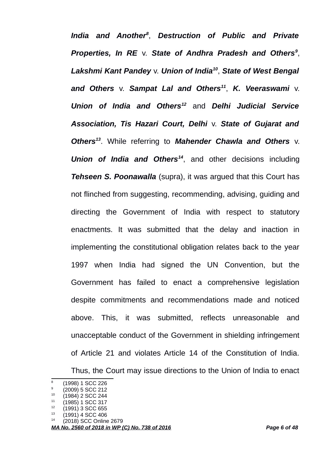*India and Another[8](#page-5-0)* , *Destruction of Public and Private Properties, In RE* v. *State of Andhra Pradesh and Others[9](#page-5-1)* , *Lakshmi Kant Pandey* v. *Union of India[10](#page-5-2)* , *State of West Bengal and Others* v. *Sampat Lal and Others[11](#page-5-3)* , *K. Veeraswami* v. *Union of India and Others[12](#page-5-4)* and *Delhi Judicial Service Association, Tis Hazari Court, Delhi* v. *State of Gujarat and Others[13](#page-5-5)*. While referring to *Mahender Chawla and Others* v. *Union of India and Others[14](#page-5-6)*, and other decisions including *Tehseen S. Poonawalla* (supra), it was argued that this Court has not flinched from suggesting, recommending, advising, guiding and directing the Government of India with respect to statutory enactments. It was submitted that the delay and inaction in implementing the constitutional obligation relates back to the year 1997 when India had signed the UN Convention, but the Government has failed to enact a comprehensive legislation despite commitments and recommendations made and noticed above. This, it was submitted, reflects unreasonable and unacceptable conduct of the Government in shielding infringement of Article 21 and violates Article 14 of the Constitution of India. Thus, the Court may issue directions to the Union of India to enact

<span id="page-5-0"></span><sup>8</sup> (1998) 1 SCC 226 9

<span id="page-5-1"></span><sup>(2009) 5</sup> SCC 212

<span id="page-5-2"></span> $(1984)$  2 SCC 244

<span id="page-5-3"></span> $11$  (1985) 1 SCC 317<br> $12$  (1991) 3 SCC 555

<span id="page-5-4"></span> $^{12}$  (1991) 3 SCC 655<br> $^{13}$  (1991) 4 SCC 406

<span id="page-5-5"></span> $13$  (1991) 4 SCC 406

<span id="page-5-6"></span><sup>(2018)</sup> SCC Online 2679

*MA No. 2560 of 2018 in WP (C) No. 738 of 2016 Page 6 of 48*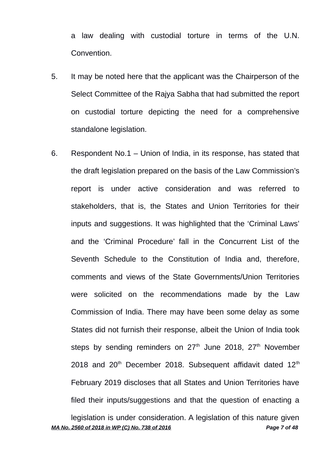a law dealing with custodial torture in terms of the U.N. Convention.

- 5. It may be noted here that the applicant was the Chairperson of the Select Committee of the Rajya Sabha that had submitted the report on custodial torture depicting the need for a comprehensive standalone legislation.
- 6. Respondent No.1 Union of India, in its response, has stated that the draft legislation prepared on the basis of the Law Commission's report is under active consideration and was referred to stakeholders, that is, the States and Union Territories for their inputs and suggestions. It was highlighted that the 'Criminal Laws' and the 'Criminal Procedure' fall in the Concurrent List of the Seventh Schedule to the Constitution of India and, therefore, comments and views of the State Governments/Union Territories were solicited on the recommendations made by the Law Commission of India. There may have been some delay as some States did not furnish their response, albeit the Union of India took steps by sending reminders on  $27<sup>th</sup>$  June 2018,  $27<sup>th</sup>$  November 2018 and  $20<sup>th</sup>$  December 2018. Subsequent affidavit dated 12<sup>th</sup> February 2019 discloses that all States and Union Territories have filed their inputs/suggestions and that the question of enacting a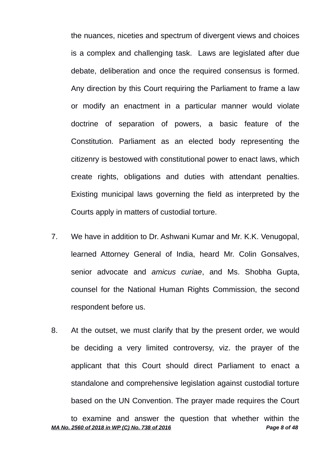the nuances, niceties and spectrum of divergent views and choices is a complex and challenging task. Laws are legislated after due debate, deliberation and once the required consensus is formed. Any direction by this Court requiring the Parliament to frame a law or modify an enactment in a particular manner would violate doctrine of separation of powers, a basic feature of the Constitution. Parliament as an elected body representing the citizenry is bestowed with constitutional power to enact laws, which create rights, obligations and duties with attendant penalties. Existing municipal laws governing the field as interpreted by the Courts apply in matters of custodial torture.

- 7. We have in addition to Dr. Ashwani Kumar and Mr. K.K. Venugopal, learned Attorney General of India, heard Mr. Colin Gonsalves, senior advocate and *amicus curiae*, and Ms. Shobha Gupta, counsel for the National Human Rights Commission, the second respondent before us.
- 8. At the outset, we must clarify that by the present order, we would be deciding a very limited controversy, viz. the prayer of the applicant that this Court should direct Parliament to enact a standalone and comprehensive legislation against custodial torture based on the UN Convention. The prayer made requires the Court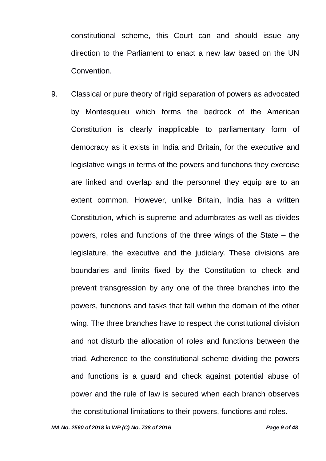constitutional scheme, this Court can and should issue any direction to the Parliament to enact a new law based on the UN Convention.

9. Classical or pure theory of rigid separation of powers as advocated by Montesquieu which forms the bedrock of the American Constitution is clearly inapplicable to parliamentary form of democracy as it exists in India and Britain, for the executive and legislative wings in terms of the powers and functions they exercise are linked and overlap and the personnel they equip are to an extent common. However, unlike Britain, India has a written Constitution, which is supreme and adumbrates as well as divides powers, roles and functions of the three wings of the State – the legislature, the executive and the judiciary. These divisions are boundaries and limits fixed by the Constitution to check and prevent transgression by any one of the three branches into the powers, functions and tasks that fall within the domain of the other wing. The three branches have to respect the constitutional division and not disturb the allocation of roles and functions between the triad. Adherence to the constitutional scheme dividing the powers and functions is a guard and check against potential abuse of power and the rule of law is secured when each branch observes the constitutional limitations to their powers, functions and roles.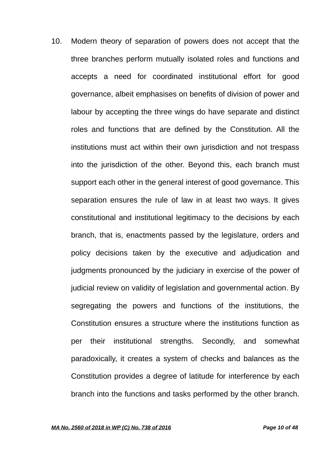10. Modern theory of separation of powers does not accept that the three branches perform mutually isolated roles and functions and accepts a need for coordinated institutional effort for good governance, albeit emphasises on benefits of division of power and labour by accepting the three wings do have separate and distinct roles and functions that are defined by the Constitution. All the institutions must act within their own jurisdiction and not trespass into the jurisdiction of the other. Beyond this, each branch must support each other in the general interest of good governance. This separation ensures the rule of law in at least two ways. It gives constitutional and institutional legitimacy to the decisions by each branch, that is, enactments passed by the legislature, orders and policy decisions taken by the executive and adjudication and judgments pronounced by the judiciary in exercise of the power of judicial review on validity of legislation and governmental action. By segregating the powers and functions of the institutions, the Constitution ensures a structure where the institutions function as per their institutional strengths. Secondly, and somewhat paradoxically, it creates a system of checks and balances as the Constitution provides a degree of latitude for interference by each branch into the functions and tasks performed by the other branch.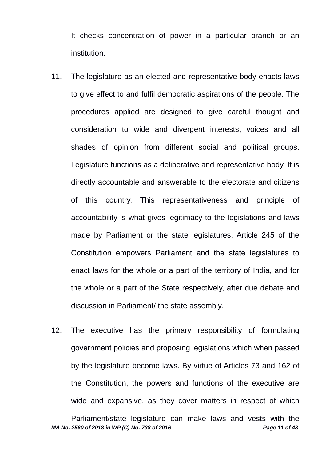It checks concentration of power in a particular branch or an institution.

- 11. The legislature as an elected and representative body enacts laws to give effect to and fulfil democratic aspirations of the people. The procedures applied are designed to give careful thought and consideration to wide and divergent interests, voices and all shades of opinion from different social and political groups. Legislature functions as a deliberative and representative body. It is directly accountable and answerable to the electorate and citizens of this country. This representativeness and principle of accountability is what gives legitimacy to the legislations and laws made by Parliament or the state legislatures. Article 245 of the Constitution empowers Parliament and the state legislatures to enact laws for the whole or a part of the territory of India, and for the whole or a part of the State respectively, after due debate and discussion in Parliament/ the state assembly.
- 12. The executive has the primary responsibility of formulating government policies and proposing legislations which when passed by the legislature become laws. By virtue of Articles 73 and 162 of the Constitution, the powers and functions of the executive are wide and expansive, as they cover matters in respect of which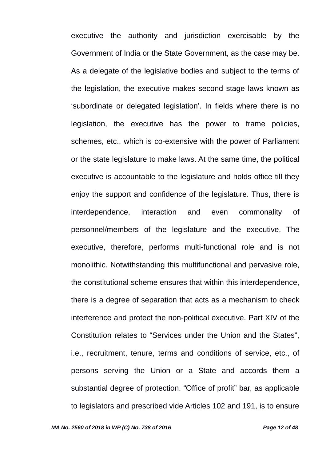executive the authority and jurisdiction exercisable by the Government of India or the State Government, as the case may be. As a delegate of the legislative bodies and subject to the terms of the legislation, the executive makes second stage laws known as 'subordinate or delegated legislation'. In fields where there is no legislation, the executive has the power to frame policies, schemes, etc., which is co-extensive with the power of Parliament or the state legislature to make laws. At the same time, the political executive is accountable to the legislature and holds office till they enjoy the support and confidence of the legislature. Thus, there is interdependence, interaction and even commonality of personnel/members of the legislature and the executive. The executive, therefore, performs multi-functional role and is not monolithic. Notwithstanding this multifunctional and pervasive role, the constitutional scheme ensures that within this interdependence, there is a degree of separation that acts as a mechanism to check interference and protect the non-political executive. Part XIV of the Constitution relates to "Services under the Union and the States", i.e., recruitment, tenure, terms and conditions of service, etc., of persons serving the Union or a State and accords them a substantial degree of protection. "Office of profit" bar, as applicable to legislators and prescribed vide Articles 102 and 191, is to ensure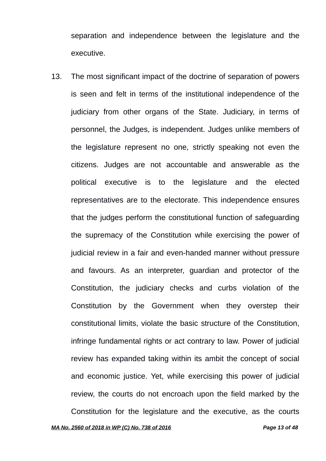separation and independence between the legislature and the executive.

13. The most significant impact of the doctrine of separation of powers is seen and felt in terms of the institutional independence of the judiciary from other organs of the State. Judiciary, in terms of personnel, the Judges, is independent. Judges unlike members of the legislature represent no one, strictly speaking not even the citizens. Judges are not accountable and answerable as the political executive is to the legislature and the elected representatives are to the electorate. This independence ensures that the judges perform the constitutional function of safeguarding the supremacy of the Constitution while exercising the power of judicial review in a fair and even-handed manner without pressure and favours. As an interpreter, guardian and protector of the Constitution, the judiciary checks and curbs violation of the Constitution by the Government when they overstep their constitutional limits, violate the basic structure of the Constitution, infringe fundamental rights or act contrary to law. Power of judicial review has expanded taking within its ambit the concept of social and economic justice. Yet, while exercising this power of judicial review, the courts do not encroach upon the field marked by the Constitution for the legislature and the executive, as the courts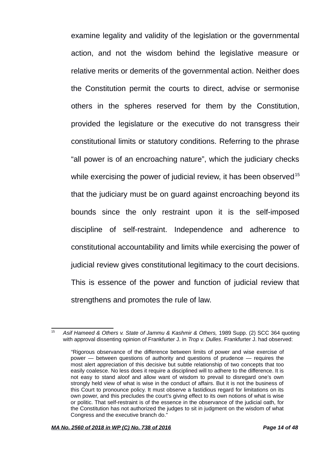examine legality and validity of the legislation or the governmental action, and not the wisdom behind the legislative measure or relative merits or demerits of the governmental action. Neither does the Constitution permit the courts to direct, advise or sermonise others in the spheres reserved for them by the Constitution, provided the legislature or the executive do not transgress their constitutional limits or statutory conditions. Referring to the phrase "all power is of an encroaching nature", which the judiciary checks while exercising the power of judicial review, it has been observed $15$ that the judiciary must be on guard against encroaching beyond its bounds since the only restraint upon it is the self-imposed discipline of self-restraint. Independence and adherence to constitutional accountability and limits while exercising the power of judicial review gives constitutional legitimacy to the court decisions. This is essence of the power and function of judicial review that strengthens and promotes the rule of law.

<span id="page-13-0"></span><sup>&</sup>lt;sup>15</sup> Asif Hameed & Others v. State of Jammu & Kashmir & Others, 1989 Supp. (2) SCC 364 quoting with approval dissenting opinion of Frankfurter J. in *Trop v. Dulles*. Frankfurter J. had observed:

<sup>&</sup>quot;Rigorous observance of the difference between limits of power and wise exercise of power — between questions of authority and questions of prudence — requires the most alert appreciation of this decisive but subtle relationship of two concepts that too easily coalesce. No less does it require a disciplined will to adhere to the difference. It is not easy to stand aloof and allow want of wisdom to prevail to disregard one's own strongly held view of what is wise in the conduct of affairs. But it is not the business of this Court to pronounce policy. It must observe a fastidious regard for limitations on its own power, and this precludes the court's giving effect to its own notions of what is wise or politic. That self-restraint is of the essence in the observance of the judicial oath, for the Constitution has not authorized the judges to sit in judgment on the wisdom of what Congress and the executive branch do."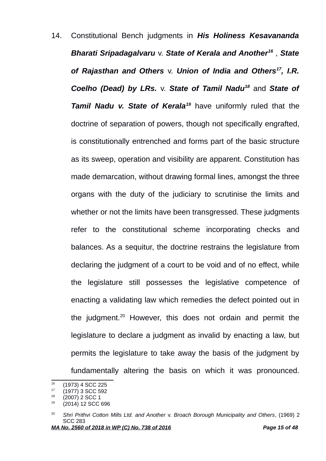14. Constitutional Bench judgments in *His Holiness Kesavananda Bharati Sripadagalvaru* v. *State of Kerala and Another[16](#page-14-0)* , *State of Rajasthan and Others* v. *Union of India and Others[17](#page-14-1) , I.R. Coelho (Dead) by LRs.* v. *State of Tamil Nadu[18](#page-14-2)* and *State of Tamil Nadu v. State of Kerala[19](#page-14-3)* have uniformly ruled that the doctrine of separation of powers, though not specifically engrafted, is constitutionally entrenched and forms part of the basic structure as its sweep, operation and visibility are apparent. Constitution has made demarcation, without drawing formal lines, amongst the three organs with the duty of the judiciary to scrutinise the limits and whether or not the limits have been transgressed. These judgments refer to the constitutional scheme incorporating checks and balances. As a sequitur, the doctrine restrains the legislature from declaring the judgment of a court to be void and of no effect, while the legislature still possesses the legislative competence of enacting a validating law which remedies the defect pointed out in the judgment.[20](#page-14-4) However, this does not ordain and permit the legislature to declare a judgment as invalid by enacting a law, but permits the legislature to take away the basis of the judgment by fundamentally altering the basis on which it was pronounced.

<span id="page-14-0"></span> $^{16}$  (1973) 4 SCC 225

<span id="page-14-1"></span> $17$  (1977) 3 SCC 592<br> $18$  (2007) 3 SCC 1

<span id="page-14-2"></span> $^{18}$  (2007) 2 SCC 1

<span id="page-14-3"></span><sup>19</sup> (2014) 12 SCC 696

<span id="page-14-4"></span><sup>20</sup> *Shri Prithvi Cotton Mills Ltd. and Another* v. *Broach Borough Municipality and Others*, (1969) 2 SCC 283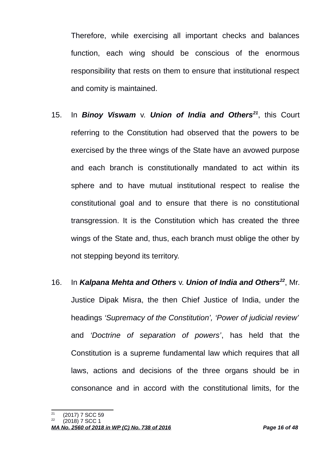Therefore, while exercising all important checks and balances function, each wing should be conscious of the enormous responsibility that rests on them to ensure that institutional respect and comity is maintained.

- 15. In *Binoy Viswam* v. *Union of India and Others[21](#page-15-0)*, this Court referring to the Constitution had observed that the powers to be exercised by the three wings of the State have an avowed purpose and each branch is constitutionally mandated to act within its sphere and to have mutual institutional respect to realise the constitutional goal and to ensure that there is no constitutional transgression. It is the Constitution which has created the three wings of the State and, thus, each branch must oblige the other by not stepping beyond its territory.
- 16. In *Kalpana Mehta and Others* v. *Union of India and Others[22](#page-15-1)*, Mr. Justice Dipak Misra, the then Chief Justice of India, under the headings *'Supremacy of the Constitution', 'Power of judicial review'* and *'Doctrine of separation of powers'*, has held that the Constitution is a supreme fundamental law which requires that all laws, actions and decisions of the three organs should be in consonance and in accord with the constitutional limits, for the

<span id="page-15-0"></span> $21$  (2017) 7 SCC 59

<span id="page-15-1"></span><sup>22</sup> (2018) 7 SCC 1

*MA No. 2560 of 2018 in WP (C) No. 738 of 2016 Page 16 of 48*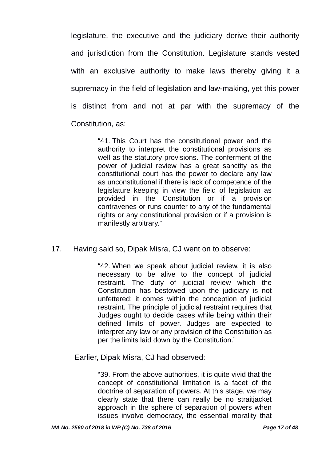legislature, the executive and the judiciary derive their authority and jurisdiction from the Constitution. Legislature stands vested with an exclusive authority to make laws thereby giving it a supremacy in the field of legislation and law-making, yet this power is distinct from and not at par with the supremacy of the Constitution, as:

> "41. This Court has the constitutional power and the authority to interpret the constitutional provisions as well as the statutory provisions. The conferment of the power of judicial review has a great sanctity as the constitutional court has the power to declare any law as unconstitutional if there is lack of competence of the legislature keeping in view the field of legislation as provided in the Constitution or if a provision contravenes or runs counter to any of the fundamental rights or any constitutional provision or if a provision is manifestly arbitrary."

17. Having said so, Dipak Misra, CJ went on to observe:

"42. When we speak about judicial review, it is also necessary to be alive to the concept of judicial restraint. The duty of judicial review which the Constitution has bestowed upon the judiciary is not unfettered; it comes within the conception of judicial restraint. The principle of judicial restraint requires that Judges ought to decide cases while being within their defined limits of power. Judges are expected to interpret any law or any provision of the Constitution as per the limits laid down by the Constitution."

Earlier, Dipak Misra, CJ had observed:

"39. From the above authorities, it is quite vivid that the concept of constitutional limitation is a facet of the doctrine of separation of powers. At this stage, we may clearly state that there can really be no straitjacket approach in the sphere of separation of powers when issues involve democracy, the essential morality that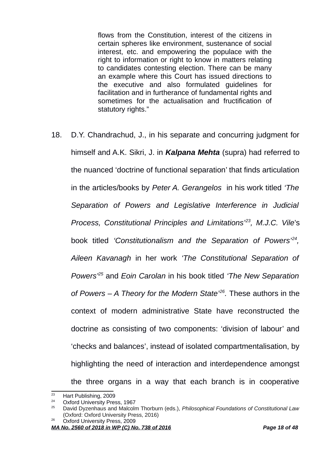flows from the Constitution, interest of the citizens in certain spheres like environment, sustenance of social interest, etc. and empowering the populace with the right to information or right to know in matters relating to candidates contesting election. There can be many an example where this Court has issued directions to the executive and also formulated guidelines for facilitation and in furtherance of fundamental rights and sometimes for the actualisation and fructification of statutory rights."

18. D.Y. Chandrachud, J., in his separate and concurring judgment for himself and A.K. Sikri, J. in *Kalpana Mehta* (supra) had referred to the nuanced 'doctrine of functional separation' that finds articulation in the articles/books by *Peter A. Gerangelos* in his work titled *'The Separation of Powers and Legislative Interference in Judicial Process, Constitutional Principles and Limitations'[23](#page-17-0), M.J.C. Vile*'s book titled *'Constitutionalism and the Separation of Powers'[24](#page-17-1) , Aileen Kavanagh* in her work *'The Constitutional Separation of Powers'[25](#page-17-2)* and *Eoin Carolan* in his book titled *'The New Separation of Powers – A Theory for the Modern State'[26](#page-17-3) .* These authors in the context of modern administrative State have reconstructed the doctrine as consisting of two components: 'division of labour' and 'checks and balances', instead of isolated compartmentalisation, by highlighting the need of interaction and interdependence amongst the three organs in a way that each branch is in cooperative

<span id="page-17-0"></span><sup>&</sup>lt;sup>23</sup> Hart Publishing, 2009

<span id="page-17-1"></span><sup>&</sup>lt;sup>24</sup> Oxford University Press, 1967<br> $^{25}$  Dovid Dyzaphous and Malaglia

<span id="page-17-2"></span><sup>25</sup> David Dyzenhaus and Malcolm Thorburn (eds.), *Philosophical Foundations of Constitutional Law* (Oxford: Oxford University Press, 2016)

<span id="page-17-3"></span><sup>&</sup>lt;sup>26</sup> Oxford University Press, 2009

*MA No. 2560 of 2018 in WP (C) No. 738 of 2016 Page 18 of 48*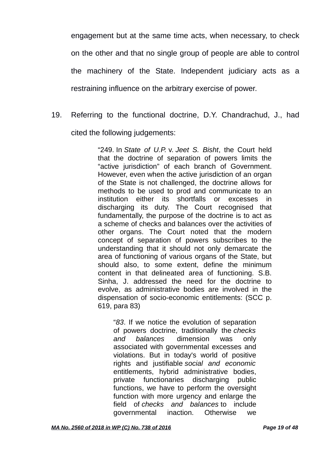engagement but at the same time acts, when necessary, to check on the other and that no single group of people are able to control the machinery of the State. Independent judiciary acts as a restraining influence on the arbitrary exercise of power.

19. Referring to the functional doctrine, D.Y. Chandrachud, J., had cited the following judgements:

> "249. In *State of U.P.* v. *Jeet S. Bisht*, the Court held that the doctrine of separation of powers limits the "active jurisdiction" of each branch of Government. However, even when the active jurisdiction of an organ of the State is not challenged, the doctrine allows for methods to be used to prod and communicate to an institution either its shortfalls or excesses in discharging its duty. The Court recognised that fundamentally, the purpose of the doctrine is to act as a scheme of checks and balances over the activities of other organs. The Court noted that the modern concept of separation of powers subscribes to the understanding that it should not only demarcate the area of functioning of various organs of the State, but should also, to some extent, define the minimum content in that delineated area of functioning. S.B. Sinha, J. addressed the need for the doctrine to evolve, as administrative bodies are involved in the dispensation of socio-economic entitlements: (SCC p. 619, para 83)

"*83*. If we notice the evolution of separation of powers doctrine, traditionally the *checks and balances* dimension was only associated with governmental excesses and violations. But in today's world of positive rights and justifiable *social and economic* entitlements, hybrid administrative bodies, private functionaries discharging public functions, we have to perform the oversight function with more urgency and enlarge the field of *checks and balances* to include governmental inaction. Otherwise we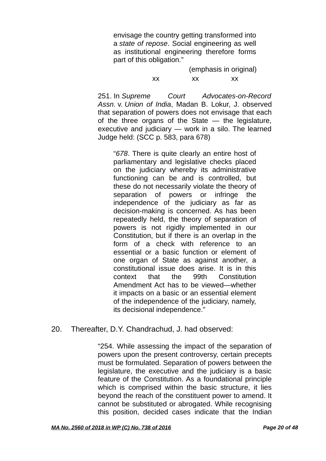envisage the country getting transformed into a *state of repose*. Social engineering as well as institutional engineering therefore forms part of this obligation."

> (emphasis in original) xx xx xx

251. In *Supreme Court Advocates-on-Record Assn.* v. *Union of India*, Madan B. Lokur, J. observed that separation of powers does not envisage that each of the three organs of the State — the legislature, executive and judiciary — work in a silo. The learned Judge held: (SCC p. 583, para 678)

"*678*. There is quite clearly an entire host of parliamentary and legislative checks placed on the judiciary whereby its administrative functioning can be and is controlled, but these do not necessarily violate the theory of separation of powers or infringe the independence of the judiciary as far as decision-making is concerned. As has been repeatedly held, the theory of separation of powers is not rigidly implemented in our Constitution, but if there is an overlap in the form of a check with reference to an essential or a basic function or element of one organ of State as against another, a constitutional issue does arise. It is in this context that the 99th Constitution Amendment Act has to be viewed—whether it impacts on a basic or an essential element of the independence of the judiciary, namely, its decisional independence."

## 20. Thereafter, D.Y. Chandrachud, J. had observed:

"254. While assessing the impact of the separation of powers upon the present controversy, certain precepts must be formulated. Separation of powers between the legislature, the executive and the judiciary is a basic feature of the Constitution. As a foundational principle which is comprised within the basic structure, it lies beyond the reach of the constituent power to amend. It cannot be substituted or abrogated. While recognising this position, decided cases indicate that the Indian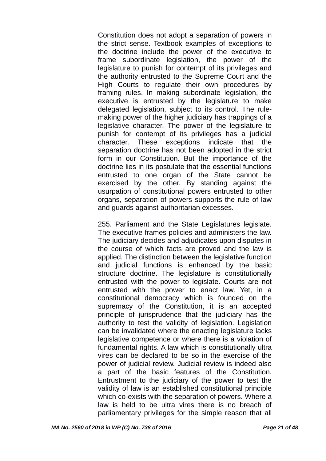Constitution does not adopt a separation of powers in the strict sense. Textbook examples of exceptions to the doctrine include the power of the executive to frame subordinate legislation, the power of the legislature to punish for contempt of its privileges and the authority entrusted to the Supreme Court and the High Courts to regulate their own procedures by framing rules. In making subordinate legislation, the executive is entrusted by the legislature to make delegated legislation, subject to its control. The rulemaking power of the higher judiciary has trappings of a legislative character. The power of the legislature to punish for contempt of its privileges has a judicial character. These exceptions indicate that the separation doctrine has not been adopted in the strict form in our Constitution. But the importance of the doctrine lies in its postulate that the essential functions entrusted to one organ of the State cannot be exercised by the other. By standing against the usurpation of constitutional powers entrusted to other organs, separation of powers supports the rule of law and guards against authoritarian excesses.

255. Parliament and the State Legislatures legislate. The executive frames policies and administers the law. The judiciary decides and adjudicates upon disputes in the course of which facts are proved and the law is applied. The distinction between the legislative function and judicial functions is enhanced by the basic structure doctrine. The legislature is constitutionally entrusted with the power to legislate. Courts are not entrusted with the power to enact law. Yet, in a constitutional democracy which is founded on the supremacy of the Constitution, it is an accepted principle of jurisprudence that the judiciary has the authority to test the validity of legislation. Legislation can be invalidated where the enacting legislature lacks legislative competence or where there is a violation of fundamental rights. A law which is constitutionally ultra vires can be declared to be so in the exercise of the power of judicial review. Judicial review is indeed also a part of the basic features of the Constitution. Entrustment to the judiciary of the power to test the validity of law is an established constitutional principle which co-exists with the separation of powers. Where a law is held to be ultra vires there is no breach of parliamentary privileges for the simple reason that all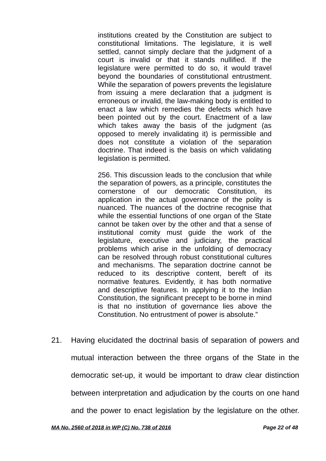institutions created by the Constitution are subject to constitutional limitations. The legislature, it is well settled, cannot simply declare that the judgment of a court is invalid or that it stands nullified. If the legislature were permitted to do so, it would travel beyond the boundaries of constitutional entrustment. While the separation of powers prevents the legislature from issuing a mere declaration that a judgment is erroneous or invalid, the law-making body is entitled to enact a law which remedies the defects which have been pointed out by the court. Enactment of a law which takes away the basis of the judgment (as opposed to merely invalidating it) is permissible and does not constitute a violation of the separation doctrine. That indeed is the basis on which validating legislation is permitted.

256. This discussion leads to the conclusion that while the separation of powers, as a principle, constitutes the cornerstone of our democratic Constitution, its application in the actual governance of the polity is nuanced. The nuances of the doctrine recognise that while the essential functions of one organ of the State cannot be taken over by the other and that a sense of institutional comity must guide the work of the legislature, executive and judiciary, the practical problems which arise in the unfolding of democracy can be resolved through robust constitutional cultures and mechanisms. The separation doctrine cannot be reduced to its descriptive content, bereft of its normative features. Evidently, it has both normative and descriptive features. In applying it to the Indian Constitution, the significant precept to be borne in mind is that no institution of governance lies above the Constitution. No entrustment of power is absolute."

21. Having elucidated the doctrinal basis of separation of powers and mutual interaction between the three organs of the State in the democratic set-up, it would be important to draw clear distinction between interpretation and adjudication by the courts on one hand and the power to enact legislation by the legislature on the other.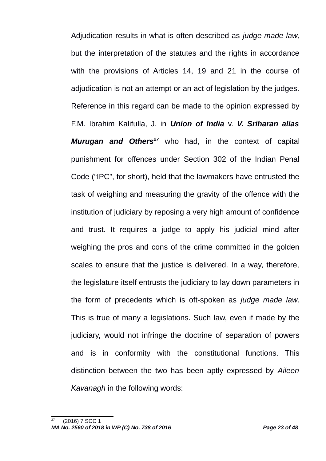Adjudication results in what is often described as *judge made law*, but the interpretation of the statutes and the rights in accordance with the provisions of Articles 14, 19 and 21 in the course of adjudication is not an attempt or an act of legislation by the judges. Reference in this regard can be made to the opinion expressed by F.M. Ibrahim Kalifulla, J. in *Union of India* v. *V. Sriharan alias Murugan and Others[27](#page-22-0)* who had, in the context of capital punishment for offences under Section 302 of the Indian Penal Code ("IPC", for short), held that the lawmakers have entrusted the task of weighing and measuring the gravity of the offence with the institution of judiciary by reposing a very high amount of confidence and trust. It requires a judge to apply his judicial mind after weighing the pros and cons of the crime committed in the golden scales to ensure that the justice is delivered. In a way, therefore, the legislature itself entrusts the judiciary to lay down parameters in the form of precedents which is oft-spoken as *judge made law*. This is true of many a legislations. Such law, even if made by the judiciary, would not infringe the doctrine of separation of powers and is in conformity with the constitutional functions. This distinction between the two has been aptly expressed by *Aileen Kavanagh* in the following words:

<span id="page-22-0"></span><sup>27</sup> (2016) 7 SCC 1 *MA No. 2560 of 2018 in WP (C) No. 738 of 2016 Page 23 of 48*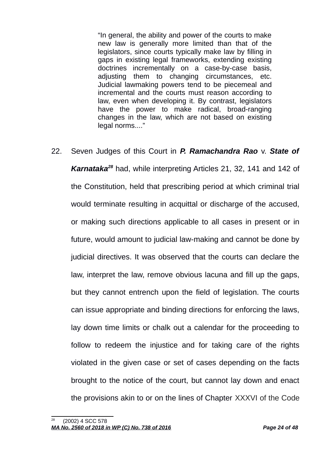"In general, the ability and power of the courts to make new law is generally more limited than that of the legislators, since courts typically make law by filling in gaps in existing legal frameworks, extending existing doctrines incrementally on a case-by-case basis, adjusting them to changing circumstances, etc. Judicial lawmaking powers tend to be piecemeal and incremental and the courts must reason according to law, even when developing it. By contrast, legislators have the power to make radical, broad-ranging changes in the law, which are not based on existing legal norms...."

22. Seven Judges of this Court in *P. Ramachandra Rao* v. *State of Karnataka[28](#page-23-0)* had, while interpreting Articles 21, 32, 141 and 142 of the Constitution, held that prescribing period at which criminal trial would terminate resulting in acquittal or discharge of the accused, or making such directions applicable to all cases in present or in future, would amount to judicial law-making and cannot be done by judicial directives. It was observed that the courts can declare the law, interpret the law, remove obvious lacuna and fill up the gaps, but they cannot entrench upon the field of legislation. The courts can issue appropriate and binding directions for enforcing the laws, lay down time limits or chalk out a calendar for the proceeding to follow to redeem the injustice and for taking care of the rights violated in the given case or set of cases depending on the facts brought to the notice of the court, but cannot lay down and enact the provisions akin to or on the lines of Chapter XXXVI of the Code

<span id="page-23-0"></span><sup>28</sup> (2002) 4 SCC 578 *MA No. 2560 of 2018 in WP (C) No. 738 of 2016 Page 24 of 48*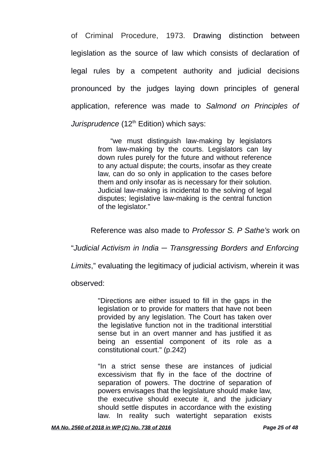of Criminal Procedure, 1973. Drawing distinction between legislation as the source of law which consists of declaration of legal rules by a competent authority and judicial decisions pronounced by the judges laying down principles of general application, reference was made to *Salmond on Principles of Jurisprudence* (12<sup>th</sup> Edition) which says:

> "we must distinguish law-making by legislators from law-making by the courts. Legislators can lay down rules purely for the future and without reference to any actual dispute; the courts, insofar as they create law, can do so only in application to the cases before them and only insofar as is necessary for their solution. Judicial law-making is incidental to the solving of legal disputes; legislative law-making is the central function of the legislator."

Reference was also made to *Professor S. P Sathe's* work on

"*Judicial Activism in India ─ Transgressing Borders and Enforcing*

*Limits*," evaluating the legitimacy of judicial activism, wherein it was

observed:

"Directions are either issued to fill in the gaps in the legislation or to provide for matters that have not been provided by any legislation. The Court has taken over the legislative function not in the traditional interstitial sense but in an overt manner and has justified it as being an essential component of its role as a constitutional court." (p.242)

"In a strict sense these are instances of judicial excessivism that fly in the face of the doctrine of separation of powers. The doctrine of separation of powers envisages that the legislature should make law, the executive should execute it, and the judiciary should settle disputes in accordance with the existing law. In reality such watertight separation exists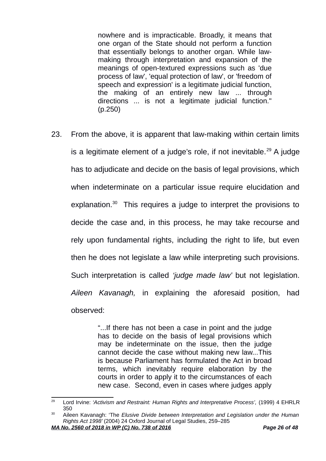nowhere and is impracticable. Broadly, it means that one organ of the State should not perform a function that essentially belongs to another organ. While lawmaking through interpretation and expansion of the meanings of open-textured expressions such as 'due process of law', 'equal protection of law', or 'freedom of speech and expression' is a legitimate judicial function, the making of an entirely new law ... through directions ... is not a legitimate judicial function." (p.250)

23. From the above, it is apparent that law-making within certain limits is a legitimate element of a judge's role, if not inevitable.<sup>[29](#page-25-0)</sup> A judge has to adjudicate and decide on the basis of legal provisions, which when indeterminate on a particular issue require elucidation and explanation.<sup>[30](#page-25-1)</sup> This requires a judge to interpret the provisions to decide the case and, in this process, he may take recourse and rely upon fundamental rights, including the right to life, but even then he does not legislate a law while interpreting such provisions. Such interpretation is called *'judge made law'* but not legislation. *Aileen Kavanagh,* in explaining the aforesaid position, had observed:

> "...If there has not been a case in point and the judge has to decide on the basis of legal provisions which may be indeterminate on the issue, then the judge cannot decide the case without making new law...This is because Parliament has formulated the Act in broad terms, which inevitably require elaboration by the courts in order to apply it to the circumstances of each new case. Second, even in cases where judges apply

<span id="page-25-0"></span><sup>&</sup>lt;sup>29</sup> Lord Irvine: 'Activism and Restraint: Human Rights and Interpretative Process', (1999) 4 EHRLR 350

<span id="page-25-1"></span><sup>30</sup> Aileen Kavanagh: 'The *Elusive Divide between Interpretation and Legislation under the Human Rights Act 1998'* (2004) 24 Oxford Journal of Legal Studies, 259–285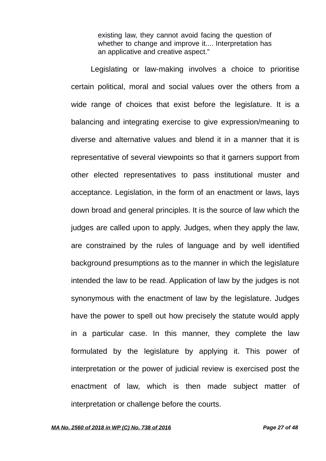existing law, they cannot avoid facing the question of whether to change and improve it.... Interpretation has an applicative and creative aspect."

Legislating or law-making involves a choice to prioritise certain political, moral and social values over the others from a wide range of choices that exist before the legislature. It is a balancing and integrating exercise to give expression/meaning to diverse and alternative values and blend it in a manner that it is representative of several viewpoints so that it garners support from other elected representatives to pass institutional muster and acceptance. Legislation, in the form of an enactment or laws, lays down broad and general principles. It is the source of law which the judges are called upon to apply. Judges, when they apply the law, are constrained by the rules of language and by well identified background presumptions as to the manner in which the legislature intended the law to be read. Application of law by the judges is not synonymous with the enactment of law by the legislature. Judges have the power to spell out how precisely the statute would apply in a particular case. In this manner, they complete the law formulated by the legislature by applying it. This power of interpretation or the power of judicial review is exercised post the enactment of law, which is then made subject matter of interpretation or challenge before the courts.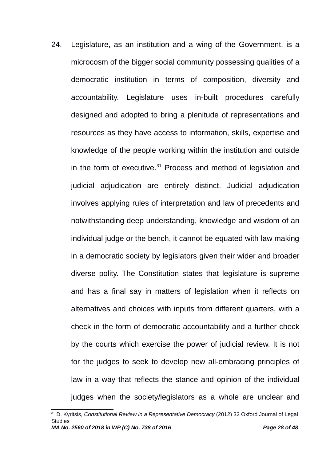24. Legislature, as an institution and a wing of the Government, is a microcosm of the bigger social community possessing qualities of a democratic institution in terms of composition, diversity and accountability. Legislature uses in-built procedures carefully designed and adopted to bring a plenitude of representations and resources as they have access to information, skills, expertise and knowledge of the people working within the institution and outside in the form of executive. $31$  Process and method of legislation and judicial adjudication are entirely distinct. Judicial adjudication involves applying rules of interpretation and law of precedents and notwithstanding deep understanding, knowledge and wisdom of an individual judge or the bench, it cannot be equated with law making in a democratic society by legislators given their wider and broader diverse polity. The Constitution states that legislature is supreme and has a final say in matters of legislation when it reflects on alternatives and choices with inputs from different quarters, with a check in the form of democratic accountability and a further check by the courts which exercise the power of judicial review. It is not for the judges to seek to develop new all-embracing principles of law in a way that reflects the stance and opinion of the individual judges when the society/legislators as a whole are unclear and

<span id="page-27-0"></span><sup>31</sup> D. Kyritsis, *Constitutional Review in a Representative Democracy* (2012) 32 Oxford Journal of Legal **Studies** *MA No. 2560 of 2018 in WP (C) No. 738 of 2016 Page 28 of 48*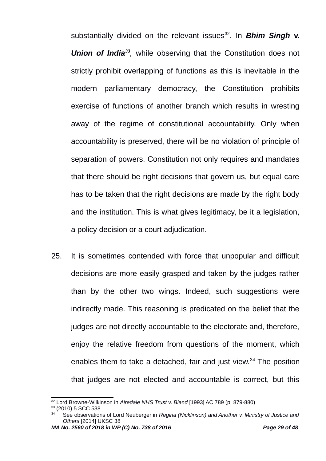substantially divided on the relevant issues<sup>[32](#page-28-0)</sup>. In **Bhim Singh v.** *Union of India[33](#page-28-1) ,* while observing that the Constitution does not strictly prohibit overlapping of functions as this is inevitable in the modern parliamentary democracy, the Constitution prohibits exercise of functions of another branch which results in wresting away of the regime of constitutional accountability. Only when accountability is preserved, there will be no violation of principle of separation of powers. Constitution not only requires and mandates that there should be right decisions that govern us, but equal care has to be taken that the right decisions are made by the right body and the institution. This is what gives legitimacy, be it a legislation, a policy decision or a court adjudication.

25. It is sometimes contended with force that unpopular and difficult decisions are more easily grasped and taken by the judges rather than by the other two wings. Indeed, such suggestions were indirectly made. This reasoning is predicated on the belief that the judges are not directly accountable to the electorate and, therefore, enjoy the relative freedom from questions of the moment, which enables them to take a detached, fair and just view.<sup>[34](#page-28-2)</sup> The position that judges are not elected and accountable is correct, but this

<span id="page-28-1"></span><sup>33</sup> (2010) 5 SCC 538

<span id="page-28-0"></span><sup>32</sup> Lord Browne-Wilkinson in *Airedale NHS Trust* v. *Bland* [1993] AC 789 (p. 879-880)

<span id="page-28-2"></span><sup>34</sup> See observations of Lord Neuberger in *Regina (Nicklinson) and Another v. Ministry of Justice and Others* [2014] UKSC 38

*MA No. 2560 of 2018 in WP (C) No. 738 of 2016 Page 29 of 48*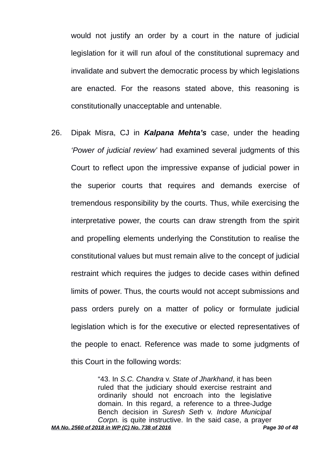would not justify an order by a court in the nature of judicial legislation for it will run afoul of the constitutional supremacy and invalidate and subvert the democratic process by which legislations are enacted. For the reasons stated above, this reasoning is constitutionally unacceptable and untenable.

26. Dipak Misra, CJ in *Kalpana Mehta's* case, under the heading *'Power of judicial review'* had examined several judgments of this Court to reflect upon the impressive expanse of judicial power in the superior courts that requires and demands exercise of tremendous responsibility by the courts. Thus, while exercising the interpretative power, the courts can draw strength from the spirit and propelling elements underlying the Constitution to realise the constitutional values but must remain alive to the concept of judicial restraint which requires the judges to decide cases within defined limits of power. Thus, the courts would not accept submissions and pass orders purely on a matter of policy or formulate judicial legislation which is for the executive or elected representatives of the people to enact. Reference was made to some judgments of this Court in the following words:

> "43. In *S.C. Chandra* v. *State of Jharkhand*, it has been ruled that the judiciary should exercise restraint and ordinarily should not encroach into the legislative domain. In this regard, a reference to a three-Judge Bench decision in *Suresh Seth* v. *Indore Municipal Corpn.* is quite instructive. In the said case, a prayer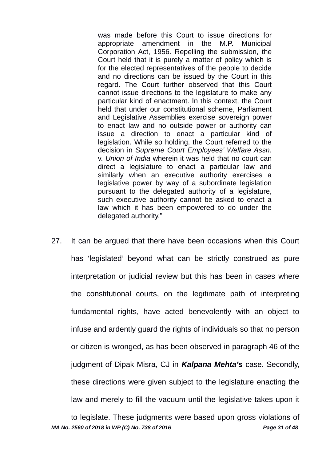was made before this Court to issue directions for appropriate amendment in the M.P. Municipal Corporation Act, 1956. Repelling the submission, the Court held that it is purely a matter of policy which is for the elected representatives of the people to decide and no directions can be issued by the Court in this regard. The Court further observed that this Court cannot issue directions to the legislature to make any particular kind of enactment. In this context, the Court held that under our constitutional scheme, Parliament and Legislative Assemblies exercise sovereign power to enact law and no outside power or authority can issue a direction to enact a particular kind of legislation. While so holding, the Court referred to the decision in *Supreme Court Employees' Welfare Assn.* v. *Union of India* wherein it was held that no court can direct a legislature to enact a particular law and similarly when an executive authority exercises a legislative power by way of a subordinate legislation pursuant to the delegated authority of a legislature, such executive authority cannot be asked to enact a law which it has been empowered to do under the delegated authority."

27. It can be argued that there have been occasions when this Court has 'legislated' beyond what can be strictly construed as pure interpretation or judicial review but this has been in cases where the constitutional courts, on the legitimate path of interpreting fundamental rights, have acted benevolently with an object to infuse and ardently guard the rights of individuals so that no person or citizen is wronged, as has been observed in paragraph 46 of the judgment of Dipak Misra, CJ in *Kalpana Mehta's* case. Secondly, these directions were given subject to the legislature enacting the law and merely to fill the vacuum until the legislative takes upon it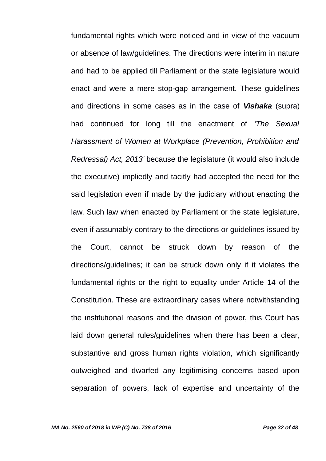fundamental rights which were noticed and in view of the vacuum or absence of law/guidelines. The directions were interim in nature and had to be applied till Parliament or the state legislature would enact and were a mere stop-gap arrangement. These guidelines and directions in some cases as in the case of *Vishaka* (supra) had continued for long till the enactment of *'The Sexual Harassment of Women at Workplace (Prevention, Prohibition and Redressal) Act, 2013'* because the legislature (it would also include the executive) impliedly and tacitly had accepted the need for the said legislation even if made by the judiciary without enacting the law. Such law when enacted by Parliament or the state legislature, even if assumably contrary to the directions or guidelines issued by the Court, cannot be struck down by reason of the directions/guidelines; it can be struck down only if it violates the fundamental rights or the right to equality under Article 14 of the Constitution. These are extraordinary cases where notwithstanding the institutional reasons and the division of power, this Court has laid down general rules/guidelines when there has been a clear, substantive and gross human rights violation, which significantly outweighed and dwarfed any legitimising concerns based upon separation of powers, lack of expertise and uncertainty of the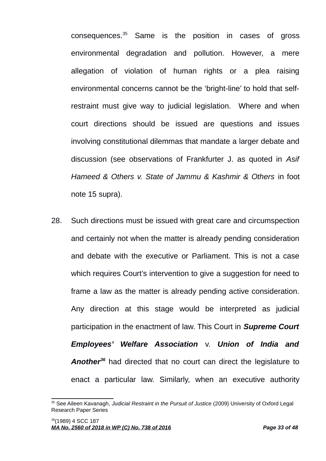consequences.[35](#page-32-0) Same is the position in cases of gross environmental degradation and pollution. However, a mere allegation of violation of human rights or a plea raising environmental concerns cannot be the 'bright-line' to hold that selfrestraint must give way to judicial legislation. Where and when court directions should be issued are questions and issues involving constitutional dilemmas that mandate a larger debate and discussion (see observations of Frankfurter J. as quoted in *Asif Hameed & Others v. State of Jammu & Kashmir & Others* in foot note 15 supra).

28. Such directions must be issued with great care and circumspection and certainly not when the matter is already pending consideration and debate with the executive or Parliament. This is not a case which requires Court's intervention to give a suggestion for need to frame a law as the matter is already pending active consideration. Any direction at this stage would be interpreted as judicial participation in the enactment of law. This Court in *Supreme Court Employees' Welfare Association* v. *Union of India and Another[36](#page-32-1)* had directed that no court can direct the legislature to enact a particular law. Similarly, when an executive authority

<span id="page-32-1"></span><span id="page-32-0"></span><sup>35</sup> See Aileen Kavanagh, *Judicial Restraint in the Pursuit of Justice* (2009) University of Oxford Legal Research Paper Series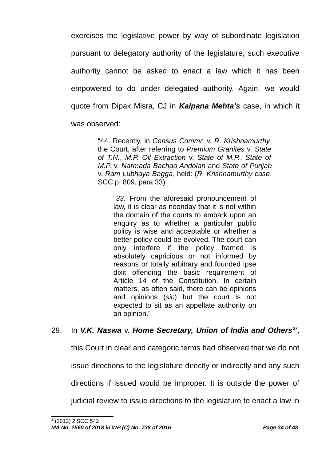exercises the legislative power by way of subordinate legislation pursuant to delegatory authority of the legislature, such executive authority cannot be asked to enact a law which it has been empowered to do under delegated authority. Again, we would quote from Dipak Misra, CJ in *Kalpana Mehta's* case, in which it was observed:

> "44. Recently, in *Census Commr.* v. *R. Krishnamurthy*, the Court, after referring to *Premium Granites* v. *State of T.N.*, *M.P. Oil Extraction* v. *State of M.P.*, *State of M.P.* v. *Narmada Bachao Andolan* and *State of Punjab* v. *Ram Lubhaya Bagga*, held: (*R. Krishnamurthy case*, SCC p. 809, para 33)

"*33*. From the aforesaid pronouncement of law, it is clear as noonday that it is not within the domain of the courts to embark upon an enquiry as to whether a particular public policy is wise and acceptable or whether a better policy could be evolved. The court can only interfere if the policy framed is absolutely capricious or not informed by reasons or totally arbitrary and founded ipse dixit offending the basic requirement of Article 14 of the Constitution. In certain matters, as often said, there can be opinions and opinions (*sic*) but the court is not expected to sit as an appellate authority on an opinion."

# 29. In *V.K. Naswa* v. *Home Secretary, Union of India and Others[37](#page-33-0)* ,

this Court in clear and categoric terms had observed that we do not

issue directions to the legislature directly or indirectly and any such

directions if issued would be improper. It is outside the power of

<span id="page-33-0"></span>judicial review to issue directions to the legislature to enact a law in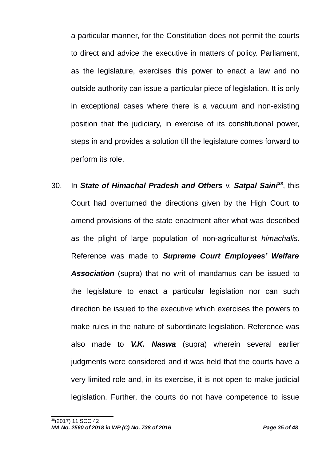a particular manner, for the Constitution does not permit the courts to direct and advice the executive in matters of policy. Parliament, as the legislature, exercises this power to enact a law and no outside authority can issue a particular piece of legislation. It is only in exceptional cases where there is a vacuum and non-existing position that the judiciary, in exercise of its constitutional power, steps in and provides a solution till the legislature comes forward to perform its role.

<span id="page-34-0"></span>30. In *State of Himachal Pradesh and Others* v. *Satpal Saini[38](#page-34-0)*, this Court had overturned the directions given by the High Court to amend provisions of the state enactment after what was described as the plight of large population of non-agriculturist *himachalis*. Reference was made to *Supreme Court Employees' Welfare Association* (supra) that no writ of mandamus can be issued to the legislature to enact a particular legislation nor can such direction be issued to the executive which exercises the powers to make rules in the nature of subordinate legislation. Reference was also made to *V.K. Naswa* (supra) wherein several earlier judgments were considered and it was held that the courts have a very limited role and, in its exercise, it is not open to make judicial legislation. Further, the courts do not have competence to issue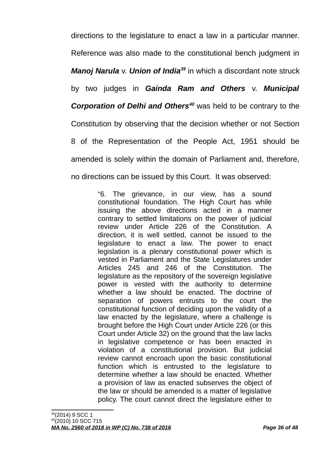directions to the legislature to enact a law in a particular manner. Reference was also made to the constitutional bench judgment in *Manoj Narula* v. *Union of India[39](#page-35-0)* in which a discordant note struck by two judges in *Gainda Ram and Others* v. *Municipal Corporation of Delhi and Others[40](#page-35-1)* was held to be contrary to the Constitution by observing that the decision whether or not Section 8 of the Representation of the People Act, 1951 should be amended is solely within the domain of Parliament and, therefore, no directions can be issued by this Court. It was observed:

> <span id="page-35-1"></span><span id="page-35-0"></span>"6. The grievance, in our view, has a sound constitutional foundation. The High Court has while issuing the above directions acted in a manner contrary to settled limitations on the power of judicial review under Article 226 of the Constitution. A direction, it is well settled, cannot be issued to the legislature to enact a law. The power to enact legislation is a plenary constitutional power which is vested in Parliament and the State Legislatures under Articles 245 and 246 of the Constitution. The legislature as the repository of the sovereign legislative power is vested with the authority to determine whether a law should be enacted. The doctrine of separation of powers entrusts to the court the constitutional function of deciding upon the validity of a law enacted by the legislature, where a challenge is brought before the High Court under Article 226 (or this Court under Article 32) on the ground that the law lacks in legislative competence or has been enacted in violation of a constitutional provision. But judicial review cannot encroach upon the basic constitutional function which is entrusted to the legislature to determine whether a law should be enacted. Whether a provision of law as enacted subserves the object of the law or should be amended is a matter of legislative policy. The court cannot direct the legislature either to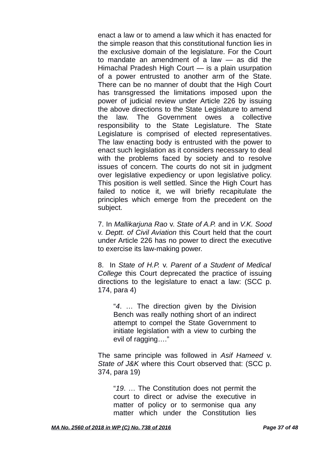enact a law or to amend a law which it has enacted for the simple reason that this constitutional function lies in the exclusive domain of the legislature. For the Court to mandate an amendment of a law — as did the Himachal Pradesh High Court — is a plain usurpation of a power entrusted to another arm of the State. There can be no manner of doubt that the High Court has transgressed the limitations imposed upon the power of judicial review under Article 226 by issuing the above directions to the State Legislature to amend the law. The Government owes a collective responsibility to the State Legislature. The State Legislature is comprised of elected representatives. The law enacting body is entrusted with the power to enact such legislation as it considers necessary to deal with the problems faced by society and to resolve issues of concern. The courts do not sit in judgment over legislative expediency or upon legislative policy. This position is well settled. Since the High Court has failed to notice it, we will briefly recapitulate the principles which emerge from the precedent on the subject.

7. In *Mallikarjuna Rao* v. *State of A.P.* and in *V.K. Sood* v. *Deptt. of Civil Aviation* this Court held that the court under Article 226 has no power to direct the executive to exercise its law-making power.

8. In *State of H.P.* v. *Parent of a Student of Medical College* this Court deprecated the practice of issuing directions to the legislature to enact a law: (SCC p. 174, para 4)

"*4*. … The direction given by the Division Bench was really nothing short of an indirect attempt to compel the State Government to initiate legislation with a view to curbing the evil of ragging…."

The same principle was followed in *Asif Hameed* v. *State of J&K* where this Court observed that: (SCC p. 374, para 19)

"*19*. … The Constitution does not permit the court to direct or advise the executive in matter of policy or to sermonise qua any matter which under the Constitution lies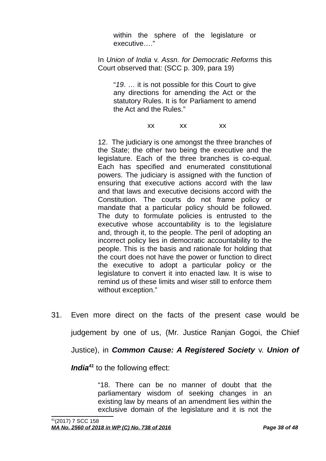within the sphere of the legislature or executive…."

In *Union of India* v. *Assn. for Democratic Reforms* this Court observed that: (SCC p. 309, para 19)

"*19*. … it is not possible for this Court to give any directions for amending the Act or the statutory Rules. It is for Parliament to amend the Act and the Rules."

xx xx xx

12. The judiciary is one amongst the three branches of the State; the other two being the executive and the legislature. Each of the three branches is co-equal. Each has specified and enumerated constitutional powers. The judiciary is assigned with the function of ensuring that executive actions accord with the law and that laws and executive decisions accord with the Constitution. The courts do not frame policy or mandate that a particular policy should be followed. The duty to formulate policies is entrusted to the executive whose accountability is to the legislature and, through it, to the people. The peril of adopting an incorrect policy lies in democratic accountability to the people. This is the basis and rationale for holding that the court does not have the power or function to direct the executive to adopt a particular policy or the legislature to convert it into enacted law. It is wise to remind us of these limits and wiser still to enforce them without exception."

31. Even more direct on the facts of the present case would be judgement by one of us, (Mr. Justice Ranjan Gogoi, the Chief

Justice), in *Common Cause: A Registered Society* v. *Union of*

<span id="page-37-0"></span>*India<sup>[41](#page-37-0)</sup>* to the following effect:

"18. There can be no manner of doubt that the parliamentary wisdom of seeking changes in an existing law by means of an amendment lies within the exclusive domain of the legislature and it is not the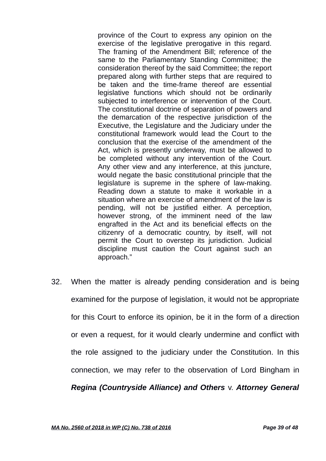province of the Court to express any opinion on the exercise of the legislative prerogative in this regard. The framing of the Amendment Bill; reference of the same to the Parliamentary Standing Committee; the consideration thereof by the said Committee; the report prepared along with further steps that are required to be taken and the time-frame thereof are essential legislative functions which should not be ordinarily subjected to interference or intervention of the Court. The constitutional doctrine of separation of powers and the demarcation of the respective jurisdiction of the Executive, the Legislature and the Judiciary under the constitutional framework would lead the Court to the conclusion that the exercise of the amendment of the Act, which is presently underway, must be allowed to be completed without any intervention of the Court. Any other view and any interference, at this juncture, would negate the basic constitutional principle that the legislature is supreme in the sphere of law-making. Reading down a statute to make it workable in a situation where an exercise of amendment of the law is pending, will not be justified either. A perception, however strong, of the imminent need of the law engrafted in the Act and its beneficial effects on the citizenry of a democratic country, by itself, will not permit the Court to overstep its jurisdiction. Judicial discipline must caution the Court against such an approach."

32. When the matter is already pending consideration and is being examined for the purpose of legislation, it would not be appropriate for this Court to enforce its opinion, be it in the form of a direction or even a request, for it would clearly undermine and conflict with the role assigned to the judiciary under the Constitution. In this connection, we may refer to the observation of Lord Bingham in *Regina (Countryside Alliance) and Others* v. *Attorney General*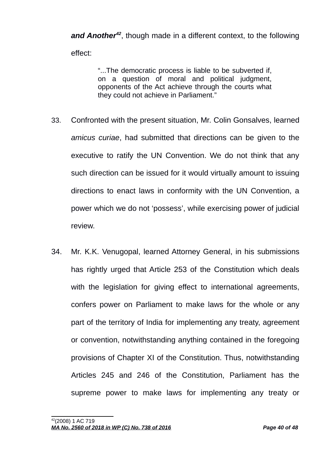*and Another[42](#page-39-0)*, though made in a different context, to the following effect:

> "...The democratic process is liable to be subverted if, on a question of moral and political judgment, opponents of the Act achieve through the courts what they could not achieve in Parliament."

- 33. Confronted with the present situation, Mr. Colin Gonsalves, learned *amicus curiae*, had submitted that directions can be given to the executive to ratify the UN Convention. We do not think that any such direction can be issued for it would virtually amount to issuing directions to enact laws in conformity with the UN Convention, a power which we do not 'possess', while exercising power of judicial review.
- <span id="page-39-0"></span>34. Mr. K.K. Venugopal, learned Attorney General, in his submissions has rightly urged that Article 253 of the Constitution which deals with the legislation for giving effect to international agreements, confers power on Parliament to make laws for the whole or any part of the territory of India for implementing any treaty, agreement or convention, notwithstanding anything contained in the foregoing provisions of Chapter XI of the Constitution. Thus, notwithstanding Articles 245 and 246 of the Constitution, Parliament has the supreme power to make laws for implementing any treaty or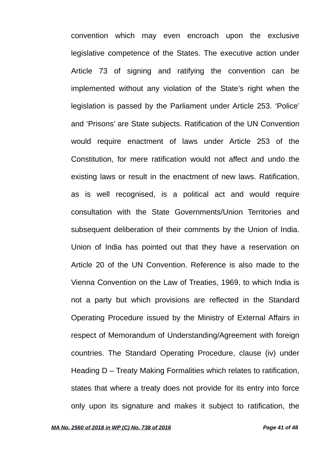convention which may even encroach upon the exclusive legislative competence of the States. The executive action under Article 73 of signing and ratifying the convention can be implemented without any violation of the State's right when the legislation is passed by the Parliament under Article 253. 'Police' and 'Prisons' are State subjects. Ratification of the UN Convention would require enactment of laws under Article 253 of the Constitution, for mere ratification would not affect and undo the existing laws or result in the enactment of new laws. Ratification, as is well recognised, is a political act and would require consultation with the State Governments/Union Territories and subsequent deliberation of their comments by the Union of India. Union of India has pointed out that they have a reservation on Article 20 of the UN Convention. Reference is also made to the Vienna Convention on the Law of Treaties, 1969, to which India is not a party but which provisions are reflected in the Standard Operating Procedure issued by the Ministry of External Affairs in respect of Memorandum of Understanding/Agreement with foreign countries. The Standard Operating Procedure, clause (iv) under Heading D – Treaty Making Formalities which relates to ratification, states that where a treaty does not provide for its entry into force only upon its signature and makes it subject to ratification, the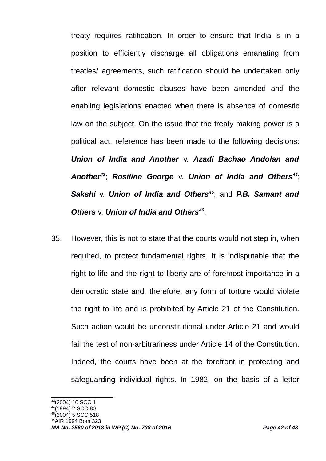treaty requires ratification. In order to ensure that India is in a position to efficiently discharge all obligations emanating from treaties/ agreements, such ratification should be undertaken only after relevant domestic clauses have been amended and the enabling legislations enacted when there is absence of domestic law on the subject. On the issue that the treaty making power is a political act, reference has been made to the following decisions: *Union of India and Another* v. *Azadi Bachao Andolan and Another[43](#page-41-0)*; *Rosiline George* v. *Union of India and Others[44](#page-41-1)*; *Sakshi* v. *Union of India and Others[45](#page-41-2)*; and *P.B. Samant and Others* v. *Union of India and Others[46](#page-41-3)* .

35. However, this is not to state that the courts would not step in, when required, to protect fundamental rights. It is indisputable that the right to life and the right to liberty are of foremost importance in a democratic state and, therefore, any form of torture would violate the right to life and is prohibited by Article 21 of the Constitution. Such action would be unconstitutional under Article 21 and would fail the test of non-arbitrariness under Article 14 of the Constitution. Indeed, the courts have been at the forefront in protecting and safeguarding individual rights. In 1982, on the basis of a letter

<span id="page-41-0"></span><sup>43</sup>(2004) 10 SCC 1

<span id="page-41-1"></span><sup>1994) 2</sup> SCC 80

<span id="page-41-2"></span> $(2004)$  5 SCC 518 <sup>46</sup>AIR 1994 Bom 323

<span id="page-41-3"></span>*MA No. 2560 of 2018 in WP (C) No. 738 of 2016 Page 42 of 48*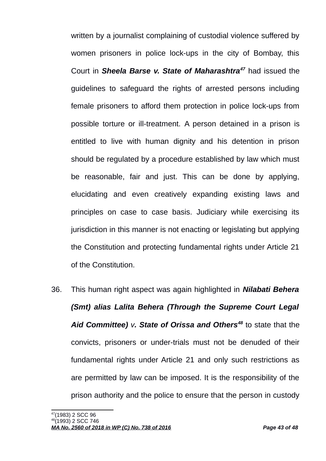written by a journalist complaining of custodial violence suffered by women prisoners in police lock-ups in the city of Bombay, this Court in *Sheela Barse v. State of Maharashtra[47](#page-42-0)* had issued the guidelines to safeguard the rights of arrested persons including female prisoners to afford them protection in police lock-ups from possible torture or ill-treatment. A person detained in a prison is entitled to live with human dignity and his detention in prison should be regulated by a procedure established by law which must be reasonable, fair and just. This can be done by applying, elucidating and even creatively expanding existing laws and principles on case to case basis. Judiciary while exercising its jurisdiction in this manner is not enacting or legislating but applying the Constitution and protecting fundamental rights under Article 21 of the Constitution.

36. This human right aspect was again highlighted in *Nilabati Behera (Smt) alias Lalita Behera (Through the Supreme Court Legal Aid Committee) v. State of Orissa and Others[48](#page-42-1)* to state that the convicts, prisoners or under-trials must not be denuded of their fundamental rights under Article 21 and only such restrictions as are permitted by law can be imposed. It is the responsibility of the prison authority and the police to ensure that the person in custody

<span id="page-42-0"></span><sup>47</sup>(1983) 2 SCC 96

<span id="page-42-1"></span><sup>&</sup>lt;sup>8</sup>(1993) 2 SCC 746

*MA No. 2560 of 2018 in WP (C) No. 738 of 2016 Page 43 of 48*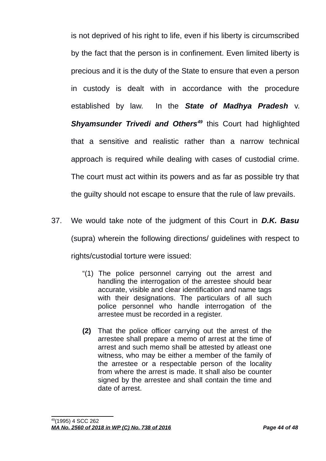is not deprived of his right to life, even if his liberty is circumscribed by the fact that the person is in confinement. Even limited liberty is precious and it is the duty of the State to ensure that even a person in custody is dealt with in accordance with the procedure established by law. In the *State of Madhya Pradesh* v. *Shyamsunder Trivedi and Others[49](#page-43-0)* this Court had highlighted that a sensitive and realistic rather than a narrow technical approach is required while dealing with cases of custodial crime. The court must act within its powers and as far as possible try that the guilty should not escape to ensure that the rule of law prevails.

- <span id="page-43-0"></span>37. We would take note of the judgment of this Court in *D.K. Basu* (supra) wherein the following directions/ guidelines with respect to rights/custodial torture were issued:
	- "(1) The police personnel carrying out the arrest and handling the interrogation of the arrestee should bear accurate, visible and clear identification and name tags with their designations. The particulars of all such police personnel who handle interrogation of the arrestee must be recorded in a register.
	- **(2)** That the police officer carrying out the arrest of the arrestee shall prepare a memo of arrest at the time of arrest and such memo shall be attested by atleast one witness, who may be either a member of the family of the arrestee or a respectable person of the locality from where the arrest is made. It shall also be counter signed by the arrestee and shall contain the time and date of arrest.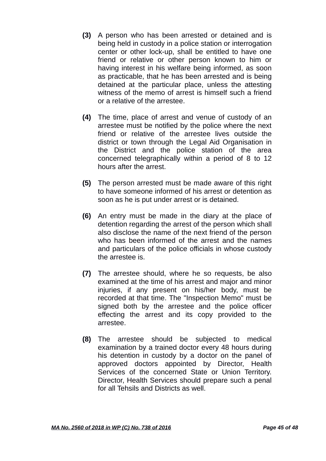- **(3)** A person who has been arrested or detained and is being held in custody in a police station or interrogation center or other lock-up, shall be entitled to have one friend or relative or other person known to him or having interest in his welfare being informed, as soon as practicable, that he has been arrested and is being detained at the particular place, unless the attesting witness of the memo of arrest is himself such a friend or a relative of the arrestee.
- **(4)** The time, place of arrest and venue of custody of an arrestee must be notified by the police where the next friend or relative of the arrestee lives outside the district or town through the Legal Aid Organisation in the District and the police station of the area concerned telegraphically within a period of 8 to 12 hours after the arrest.
- **(5)** The person arrested must be made aware of this right to have someone informed of his arrest or detention as soon as he is put under arrest or is detained.
- **(6)** An entry must be made in the diary at the place of detention regarding the arrest of the person which shall also disclose the name of the next friend of the person who has been informed of the arrest and the names and particulars of the police officials in whose custody the arrestee is.
- **(7)** The arrestee should, where he so requests, be also examined at the time of his arrest and major and minor injuries, if any present on his/her body, must be recorded at that time. The "Inspection Memo" must be signed both by the arrestee and the police officer effecting the arrest and its copy provided to the arrestee.
- **(8)** The arrestee should be subjected to medical examination by a trained doctor every 48 hours during his detention in custody by a doctor on the panel of approved doctors appointed by Director, Health Services of the concerned State or Union Territory. Director, Health Services should prepare such a penal for all Tehsils and Districts as well.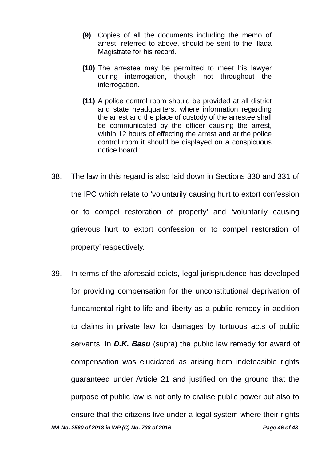- **(9)** Copies of all the documents including the memo of arrest, referred to above, should be sent to the illaqa Magistrate for his record.
- **(10)** The arrestee may be permitted to meet his lawyer during interrogation, though not throughout the interrogation.
- **(11)** A police control room should be provided at all district and state headquarters, where information regarding the arrest and the place of custody of the arrestee shall be communicated by the officer causing the arrest, within 12 hours of effecting the arrest and at the police control room it should be displayed on a conspicuous notice board."
- 38. The law in this regard is also laid down in Sections 330 and 331 of the IPC which relate to 'voluntarily causing hurt to extort confession or to compel restoration of property' and 'voluntarily causing grievous hurt to extort confession or to compel restoration of property' respectively.
- 39. In terms of the aforesaid edicts, legal jurisprudence has developed for providing compensation for the unconstitutional deprivation of fundamental right to life and liberty as a public remedy in addition to claims in private law for damages by tortuous acts of public servants. In *D.K. Basu* (supra) the public law remedy for award of compensation was elucidated as arising from indefeasible rights guaranteed under Article 21 and justified on the ground that the purpose of public law is not only to civilise public power but also to ensure that the citizens live under a legal system where their rights *MA No. 2560 of 2018 in WP (C) No. 738 of 2016 Page 46 of 48*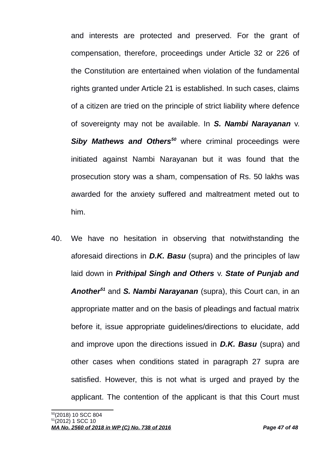and interests are protected and preserved. For the grant of compensation, therefore, proceedings under Article 32 or 226 of the Constitution are entertained when violation of the fundamental rights granted under Article 21 is established. In such cases, claims of a citizen are tried on the principle of strict liability where defence of sovereignty may not be available. In *S. Nambi Narayanan* v. *Siby Mathews and Others[50](#page-46-0)* where criminal proceedings were initiated against Nambi Narayanan but it was found that the prosecution story was a sham, compensation of Rs. 50 lakhs was awarded for the anxiety suffered and maltreatment meted out to him.

<span id="page-46-1"></span><span id="page-46-0"></span>40. We have no hesitation in observing that notwithstanding the aforesaid directions in *D.K. Basu* (supra) and the principles of law laid down in *Prithipal Singh and Others* v. *State of Punjab and Another[51](#page-46-1)* and *S. Nambi Narayanan* (supra), this Court can, in an appropriate matter and on the basis of pleadings and factual matrix before it, issue appropriate guidelines/directions to elucidate, add and improve upon the directions issued in *D.K. Basu* (supra) and other cases when conditions stated in paragraph 27 supra are satisfied. However, this is not what is urged and prayed by the applicant. The contention of the applicant is that this Court must